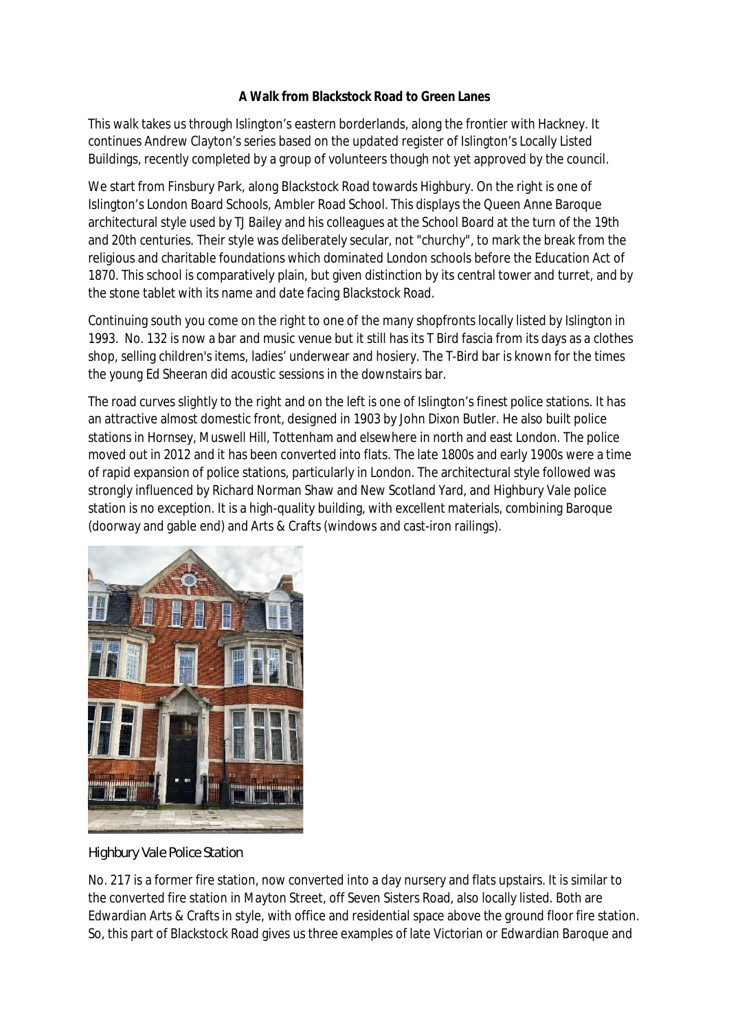## **A Walk from Blackstock Road to Green Lanes**

This walk takes us through Islington's eastern borderlands, along the frontier with Hackney. It continues Andrew Clayton's series based on the updated register of Islington's Locally Listed Buildings, recently completed by a group of volunteers though not yet approved by the council.

We start from Finsbury Park, along Blackstock Road towards Highbury. On the right is one of Islington's London Board Schools, Ambler Road School. This displays the Queen Anne Baroque architectural style used by TJ Bailey and his colleagues at the School Board at the turn of the 19th and 20th centuries. Their style was deliberately secular, not "churchy", to mark the break from the religious and charitable foundations which dominated London schools before the Education Act of 1870. This school is comparatively plain, but given distinction by its central tower and turret, and by the stone tablet with its name and date facing Blackstock Road.

Continuing south you come on the right to one of the many shopfronts locally listed by Islington in 1993. No. 132 is now a bar and music venue but it still has its T Bird fascia from its days as a clothes shop, selling children's items, ladies' underwear and hosiery. The T-Bird bar is known for the times the young Ed Sheeran did acoustic sessions in the downstairs bar.

The road curves slightly to the right and on the left is one of Islington's finest police stations. It has an attractive almost domestic front, designed in 1903 by John Dixon Butler. He also built police stations in Hornsey, Muswell Hill, Tottenham and elsewhere in north and east London. The police moved out in 2012 and it has been converted into flats. The late 1800s and early 1900s were a time of rapid expansion of police stations, particularly in London. The architectural style followed was strongly influenced by Richard Norman Shaw and New Scotland Yard, and Highbury Vale police station is no exception. It is a high-quality building, with excellent materials, combining Baroque (doorway and gable end) and Arts & Crafts (windows and cast-iron railings).



*Highbury Vale Police Station*

No. 217 is a former fire station, now converted into a day nursery and flats upstairs. It is similar to the converted fire station in Mayton Street, off Seven Sisters Road, also locally listed. Both are Edwardian Arts & Crafts in style, with office and residential space above the ground floor fire station. So, this part of Blackstock Road gives us three examples of late Victorian or Edwardian Baroque and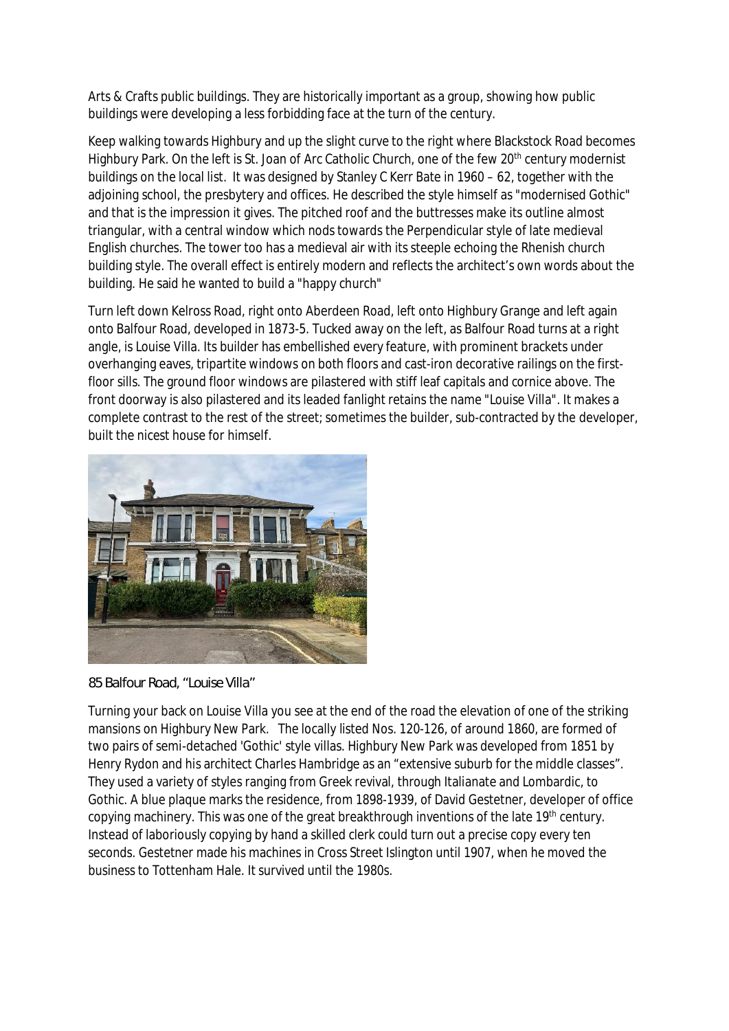Arts & Crafts public buildings. They are historically important as a group, showing how public buildings were developing a less forbidding face at the turn of the century.

Keep walking towards Highbury and up the slight curve to the right where Blackstock Road becomes Highbury Park. On the left is St. Joan of Arc Catholic Church, one of the few 20<sup>th</sup> century modernist buildings on the local list. It was designed by Stanley C Kerr Bate in 1960 – 62, together with the adjoining school, the presbytery and offices. He described the style himself as "modernised Gothic" and that is the impression it gives. The pitched roof and the buttresses make its outline almost triangular, with a central window which nods towards the Perpendicular style of late medieval English churches. The tower too has a medieval air with its steeple echoing the Rhenish church building style. The overall effect is entirely modern and reflects the architect's own words about the building. He said he wanted to build a "happy church"

Turn left down Kelross Road, right onto Aberdeen Road, left onto Highbury Grange and left again onto Balfour Road, developed in 1873-5. Tucked away on the left, as Balfour Road turns at a right angle, is Louise Villa. Its builder has embellished every feature, with prominent brackets under overhanging eaves, tripartite windows on both floors and cast-iron decorative railings on the firstfloor sills. The ground floor windows are pilastered with stiff leaf capitals and cornice above. The front doorway is also pilastered and its leaded fanlight retains the name "Louise Villa". It makes a complete contrast to the rest of the street; sometimes the builder, sub-contracted by the developer, built the nicest house for himself.



*85 Balfour Road, "Louise Villa"*

Turning your back on Louise Villa you see at the end of the road the elevation of one of the striking mansions on Highbury New Park. The locally listed Nos. 120-126, of around 1860, are formed of two pairs of semi-detached 'Gothic' style villas. Highbury New Park was developed from 1851 by Henry Rydon and his architect Charles Hambridge as an "extensive suburb for the middle classes". They used a variety of styles ranging from Greek revival, through Italianate and Lombardic, to Gothic. A blue plaque marks the residence, from 1898-1939, of David Gestetner, developer of office copying machinery. This was one of the great breakthrough inventions of the late 19<sup>th</sup> century. Instead of laboriously copying by hand a skilled clerk could turn out a precise copy every ten seconds. Gestetner made his machines in Cross Street Islington until 1907, when he moved the business to Tottenham Hale. It survived until the 1980s.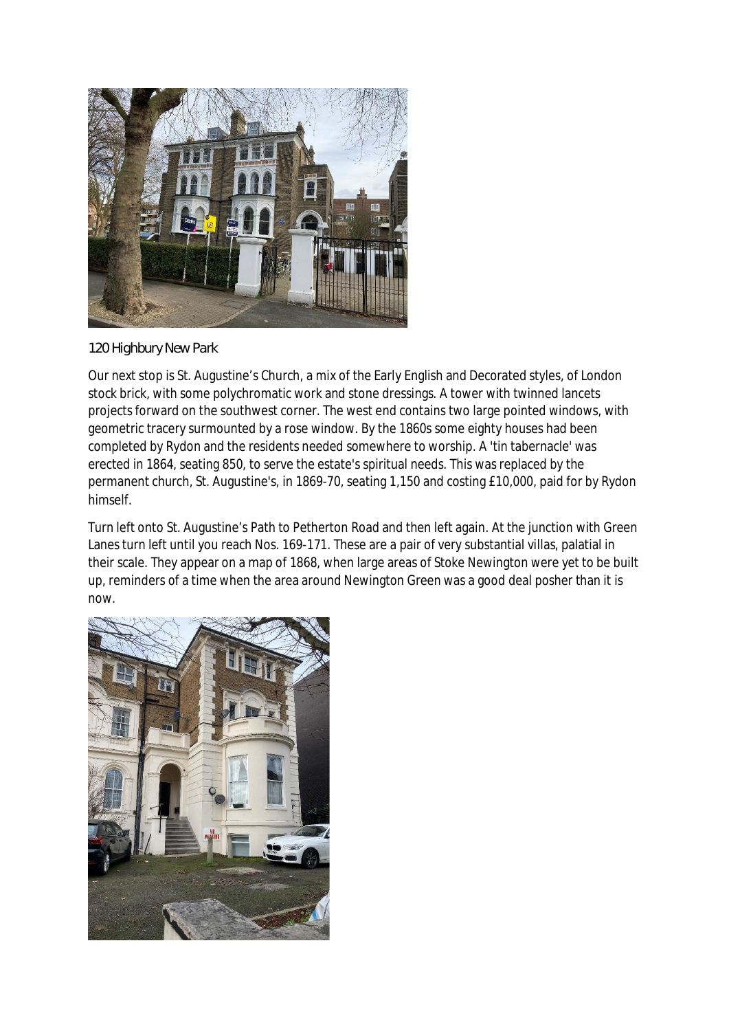

## *120 Highbury New Park*

Our next stop is St. Augustine's Church, a mix of the Early English and Decorated styles, of London stock brick, with some polychromatic work and stone dressings. A tower with twinned lancets projects forward on the southwest corner. The west end contains two large pointed windows, with geometric tracery surmounted by a rose window. By the 1860s some eighty houses had been completed by Rydon and the residents needed somewhere to worship. A 'tin tabernacle' was erected in 1864, seating 850, to serve the estate's spiritual needs. This was replaced by the permanent church, St. Augustine's, in 1869-70, seating 1,150 and costing £10,000, paid for by Rydon himself.

Turn left onto St. Augustine's Path to Petherton Road and then left again. At the junction with Green Lanes turn left until you reach Nos. 169-171. These are a pair of very substantial villas, palatial in their scale. They appear on a map of 1868, when large areas of Stoke Newington were yet to be built up, reminders of a time when the area around Newington Green was a good deal posher than it is now.